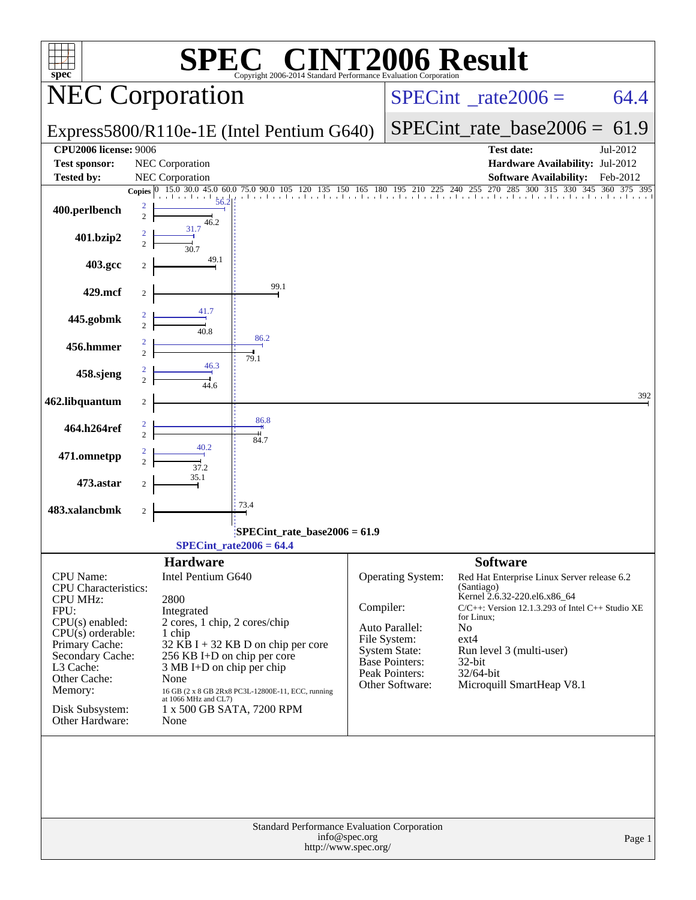| <b>T2006 Result</b><br>$\blacksquare$<br>$spec^*$<br>Copyright 2006-2014 Standard Performance Evaluation Corporation                                                                                                                |                                                                                            |                                                                                                                                                                                                                   |                                                                  |                                                                                                                                           |                                                                                                                                                                                                                                                                    |          |  |  |  |  |
|-------------------------------------------------------------------------------------------------------------------------------------------------------------------------------------------------------------------------------------|--------------------------------------------------------------------------------------------|-------------------------------------------------------------------------------------------------------------------------------------------------------------------------------------------------------------------|------------------------------------------------------------------|-------------------------------------------------------------------------------------------------------------------------------------------|--------------------------------------------------------------------------------------------------------------------------------------------------------------------------------------------------------------------------------------------------------------------|----------|--|--|--|--|
|                                                                                                                                                                                                                                     | <b>NEC Corporation</b>                                                                     |                                                                                                                                                                                                                   |                                                                  | $SPECint^{\circ}$ <sub>_rate2006</sub> =                                                                                                  | 64.4                                                                                                                                                                                                                                                               |          |  |  |  |  |
|                                                                                                                                                                                                                                     |                                                                                            | Express5800/R110e-1E (Intel Pentium G640)                                                                                                                                                                         |                                                                  | $SPECint_rate_base2006 = 61.9$                                                                                                            |                                                                                                                                                                                                                                                                    |          |  |  |  |  |
| <b>CPU2006 license: 9006</b><br><b>Test sponsor:</b>                                                                                                                                                                                | NEC Corporation                                                                            |                                                                                                                                                                                                                   | <b>Test date:</b><br>Jul-2012<br>Hardware Availability: Jul-2012 |                                                                                                                                           |                                                                                                                                                                                                                                                                    |          |  |  |  |  |
| <b>Tested by:</b>                                                                                                                                                                                                                   | NEC Corporation                                                                            |                                                                                                                                                                                                                   |                                                                  |                                                                                                                                           | <b>Software Availability:</b>                                                                                                                                                                                                                                      | Feb-2012 |  |  |  |  |
| 400.perlbench                                                                                                                                                                                                                       | <b>Copies</b><br>$\overline{c}$<br>$\overline{c}$<br>46.2                                  | 0 15.0 30.0 45.0 60.0 75.0 90.0 105 120 135<br>56.2                                                                                                                                                               |                                                                  |                                                                                                                                           | 150 165 180 195 210 225 240 255 270 285 30<br>300<br>315 330 345 360 375 395                                                                                                                                                                                       |          |  |  |  |  |
| 401.bzip2                                                                                                                                                                                                                           | 31.7<br>2<br>30.7                                                                          |                                                                                                                                                                                                                   |                                                                  |                                                                                                                                           |                                                                                                                                                                                                                                                                    |          |  |  |  |  |
| 403.gcc                                                                                                                                                                                                                             | 49.1                                                                                       |                                                                                                                                                                                                                   |                                                                  |                                                                                                                                           |                                                                                                                                                                                                                                                                    |          |  |  |  |  |
| 429.mcf                                                                                                                                                                                                                             | 41.7                                                                                       | 99.1                                                                                                                                                                                                              |                                                                  |                                                                                                                                           |                                                                                                                                                                                                                                                                    |          |  |  |  |  |
| 445.gobmk                                                                                                                                                                                                                           | 40.8                                                                                       | 86.2                                                                                                                                                                                                              |                                                                  |                                                                                                                                           |                                                                                                                                                                                                                                                                    |          |  |  |  |  |
| 456.hmmer                                                                                                                                                                                                                           | 2<br>$\overline{2}$<br>46.3                                                                | 79.1                                                                                                                                                                                                              |                                                                  |                                                                                                                                           |                                                                                                                                                                                                                                                                    |          |  |  |  |  |
| 458.sjeng                                                                                                                                                                                                                           | $\overline{\mathcal{L}}$<br>446                                                            |                                                                                                                                                                                                                   |                                                                  |                                                                                                                                           |                                                                                                                                                                                                                                                                    | 392      |  |  |  |  |
| 462.libquantum<br>464.h264ref                                                                                                                                                                                                       | $\overline{c}$                                                                             | 86.8                                                                                                                                                                                                              |                                                                  |                                                                                                                                           |                                                                                                                                                                                                                                                                    |          |  |  |  |  |
| 471.omnetpp                                                                                                                                                                                                                         | $\overline{2}$                                                                             | 84.7                                                                                                                                                                                                              |                                                                  |                                                                                                                                           |                                                                                                                                                                                                                                                                    |          |  |  |  |  |
| 473.astar                                                                                                                                                                                                                           | 37.2                                                                                       |                                                                                                                                                                                                                   |                                                                  |                                                                                                                                           |                                                                                                                                                                                                                                                                    |          |  |  |  |  |
| 483.xalancbmk                                                                                                                                                                                                                       | 2                                                                                          | 73.4                                                                                                                                                                                                              |                                                                  |                                                                                                                                           |                                                                                                                                                                                                                                                                    |          |  |  |  |  |
|                                                                                                                                                                                                                                     |                                                                                            | SPECint_rate_base2006 = 61.9<br>$SPECint_rate2006 = 64.4$                                                                                                                                                         |                                                                  |                                                                                                                                           |                                                                                                                                                                                                                                                                    |          |  |  |  |  |
|                                                                                                                                                                                                                                     | <b>Hardware</b>                                                                            |                                                                                                                                                                                                                   |                                                                  |                                                                                                                                           | <b>Software</b>                                                                                                                                                                                                                                                    |          |  |  |  |  |
| <b>CPU</b> Name:<br>CPU Characteristics:<br><b>CPU MHz:</b><br>FPU:<br>$CPU(s)$ enabled:<br>$CPU(s)$ orderable:<br>Primary Cache:<br>Secondary Cache:<br>L3 Cache:<br>Other Cache:<br>Memory:<br>Disk Subsystem:<br>Other Hardware: | Intel Pentium G640<br>2800<br>Integrated<br>1 chip<br>None<br>at 1066 MHz and CL7)<br>None | 2 cores, 1 chip, 2 cores/chip<br>32 KB I + 32 KB D on chip per core<br>256 KB I+D on chip per core<br>3 MB I+D on chip per chip<br>16 GB (2 x 8 GB 2Rx8 PC3L-12800E-11, ECC, running<br>1 x 500 GB SATA, 7200 RPM | Compiler:                                                        | Operating System:<br>Auto Parallel:<br>File System:<br><b>System State:</b><br><b>Base Pointers:</b><br>Peak Pointers:<br>Other Software: | Red Hat Enterprise Linux Server release 6.2<br>(Santiago)<br>Kernel 2.6.32-220.el6.x86_64<br>$C/C++$ : Version 12.1.3.293 of Intel $C++$ Studio XE<br>for Linux;<br>No<br>$ext{4}$<br>Run level 3 (multi-user)<br>32-bit<br>32/64-bit<br>Microquill SmartHeap V8.1 |          |  |  |  |  |
|                                                                                                                                                                                                                                     |                                                                                            | Standard Performance Evaluation Corporation                                                                                                                                                                       |                                                                  |                                                                                                                                           |                                                                                                                                                                                                                                                                    |          |  |  |  |  |
|                                                                                                                                                                                                                                     |                                                                                            | http://www.spec.org/                                                                                                                                                                                              | info@spec.org                                                    |                                                                                                                                           |                                                                                                                                                                                                                                                                    | Page 1   |  |  |  |  |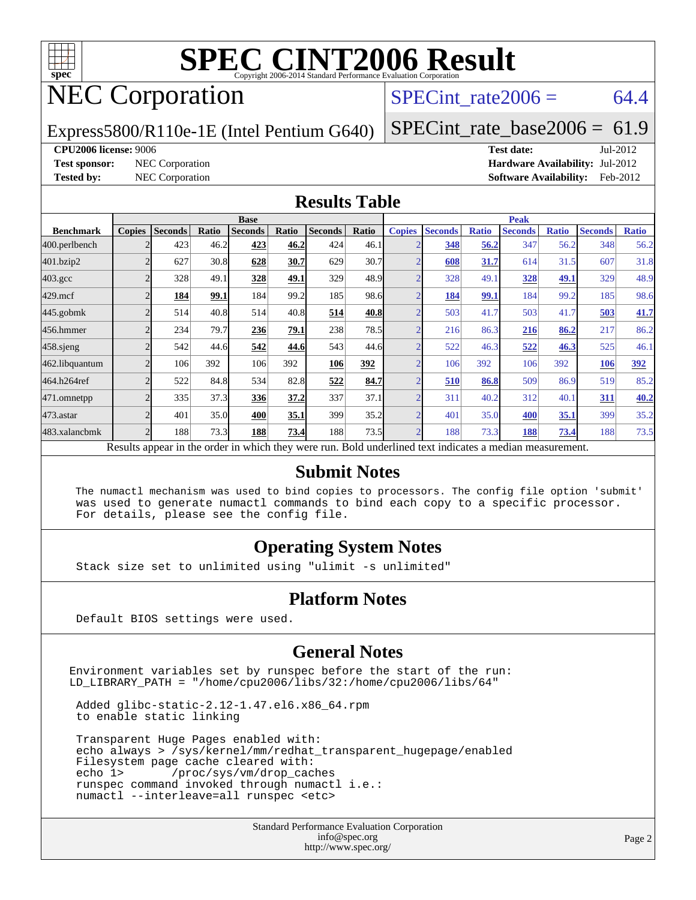

## NEC Corporation

SPECint rate  $2006 = 64.4$ 

Express5800/R110e-1E (Intel Pentium G640)

[SPECint\\_rate\\_base2006 =](http://www.spec.org/auto/cpu2006/Docs/result-fields.html#SPECintratebase2006)  $61.9$ 

#### **[CPU2006 license:](http://www.spec.org/auto/cpu2006/Docs/result-fields.html#CPU2006license)** 9006 **[Test date:](http://www.spec.org/auto/cpu2006/Docs/result-fields.html#Testdate)** Jul-2012

**[Test sponsor:](http://www.spec.org/auto/cpu2006/Docs/result-fields.html#Testsponsor)** NEC Corporation **[Hardware Availability:](http://www.spec.org/auto/cpu2006/Docs/result-fields.html#HardwareAvailability)** Jul-2012 **[Tested by:](http://www.spec.org/auto/cpu2006/Docs/result-fields.html#Testedby)** NEC Corporation **[Software Availability:](http://www.spec.org/auto/cpu2006/Docs/result-fields.html#SoftwareAvailability)** Feb-2012

#### **[Results Table](http://www.spec.org/auto/cpu2006/Docs/result-fields.html#ResultsTable)**

|                                                                                                          | <b>Base</b>   |                |       |                |       |                | <b>Peak</b> |               |                |              |                |              |                |              |
|----------------------------------------------------------------------------------------------------------|---------------|----------------|-------|----------------|-------|----------------|-------------|---------------|----------------|--------------|----------------|--------------|----------------|--------------|
| <b>Benchmark</b>                                                                                         | <b>Copies</b> | <b>Seconds</b> | Ratio | <b>Seconds</b> | Ratio | <b>Seconds</b> | Ratio       | <b>Copies</b> | <b>Seconds</b> | <b>Ratio</b> | <b>Seconds</b> | <b>Ratio</b> | <b>Seconds</b> | <b>Ratio</b> |
| 400.perlbench                                                                                            |               | 423            | 46.2  | 423            | 46.2  | 424            | 46.1        |               | 348            | 56.2         | 347            | 56.2         | 348            | 56.2         |
| 401.bzip2                                                                                                |               | 627            | 30.8  | 628            | 30.7  | 629            | 30.7        |               | 608            | 31.7         | 614            | 31.5         | 607            | 31.8         |
| $403.\mathrm{gcc}$                                                                                       |               | 328            | 49.1  | 328            | 49.1  | 329            | 48.9        |               | 328            | 49.1         | 328            | 49.1         | 329            | 48.9         |
| $429$ .mcf                                                                                               |               | 184            | 99.1  | 184            | 99.2  | 185            | 98.6        |               | 184            | 99.1         | 184            | 99.2         | 185            | 98.6         |
| $445$ .gobmk                                                                                             |               | 514            | 40.8  | 514            | 40.8  | 514            | 40.8        |               | 503            | 41.7         | 503            | 41.7         | 503            | 41.7         |
| 456.hmmer                                                                                                |               | 234            | 79.7  | 236            | 79.1  | 238            | 78.5        |               | 216            | 86.3         | 216            | 86.2         | 217            | 86.2         |
| $458$ .sjeng                                                                                             |               | 542            | 44.6  | 542            | 44.6  | 543            | 44.6        |               | 522            | 46.3         | 522            | 46.3         | 525            | 46.1         |
| 462.libquantum                                                                                           |               | 106            | 392   | 106            | 392   | 106            | 392         |               | 106            | 392          | 106            | 392          | 106            | 392          |
| 464.h264ref                                                                                              |               | 522            | 84.8  | 534            | 82.8  | 522            | 84.7        |               | 510            | 86.8         | 509            | 86.9         | 519            | 85.2         |
| 471.omnetpp                                                                                              |               | 335            | 37.3  | 336            | 37.2  | 337            | 37.1        |               | 311            | 40.2         | 312            | 40.1         | 311            | 40.2         |
| 473.astar                                                                                                |               | 401            | 35.0  | 400            | 35.1  | 399            | 35.2        |               | 401            | 35.0         | 400            | 35.1         | 399            | 35.2         |
| 483.xalancbmk                                                                                            |               | 188            | 73.3  | 188            | 73.4  | 188            | 73.5        |               | 188            | 73.3         | 188            | 73.4         | 188            | 73.5         |
| Results appear in the order in which they were run. Bold underlined text indicates a median measurement. |               |                |       |                |       |                |             |               |                |              |                |              |                |              |

#### **[Submit Notes](http://www.spec.org/auto/cpu2006/Docs/result-fields.html#SubmitNotes)**

 The numactl mechanism was used to bind copies to processors. The config file option 'submit' was used to generate numactl commands to bind each copy to a specific processor. For details, please see the config file.

### **[Operating System Notes](http://www.spec.org/auto/cpu2006/Docs/result-fields.html#OperatingSystemNotes)**

Stack size set to unlimited using "ulimit -s unlimited"

#### **[Platform Notes](http://www.spec.org/auto/cpu2006/Docs/result-fields.html#PlatformNotes)**

Default BIOS settings were used.

### **[General Notes](http://www.spec.org/auto/cpu2006/Docs/result-fields.html#GeneralNotes)**

Environment variables set by runspec before the start of the run: LD\_LIBRARY\_PATH = "/home/cpu2006/libs/32:/home/cpu2006/libs/64"

 Added glibc-static-2.12-1.47.el6.x86\_64.rpm to enable static linking

 Transparent Huge Pages enabled with: echo always > /sys/kernel/mm/redhat\_transparent\_hugepage/enabled Filesystem page cache cleared with:<br>echo 1> /proc/sys/vm/drop\_cac /proc/sys/vm/drop\_caches runspec command invoked through numactl i.e.: numactl --interleave=all runspec <etc>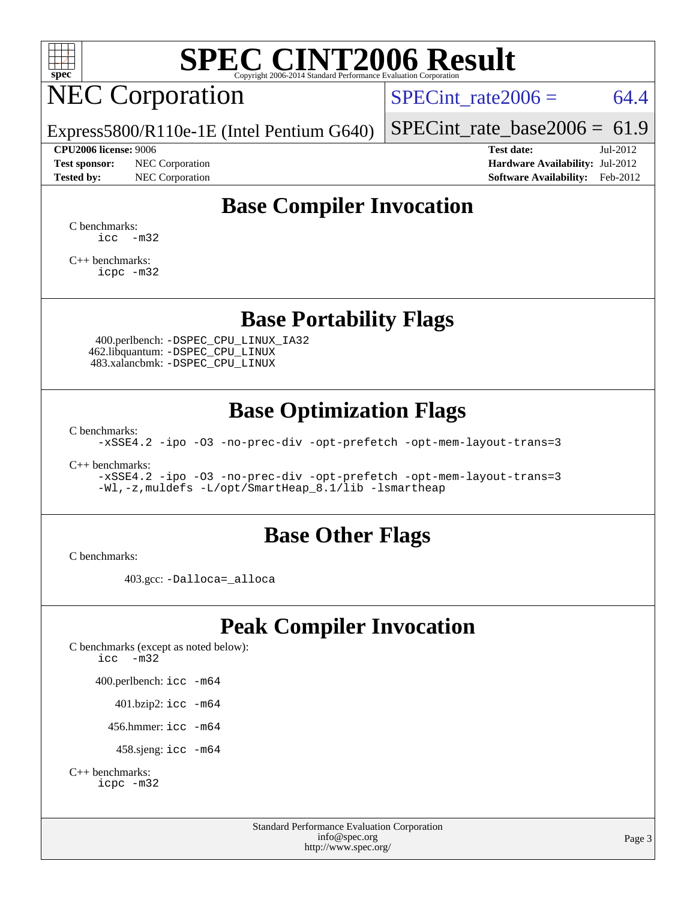

# NEC Corporation

SPECint rate $2006 = 64.4$ 

Express5800/R110e-1E (Intel Pentium G640)

#### **[CPU2006 license:](http://www.spec.org/auto/cpu2006/Docs/result-fields.html#CPU2006license)** 9006 **[Test date:](http://www.spec.org/auto/cpu2006/Docs/result-fields.html#Testdate)** Jul-2012

**[Test sponsor:](http://www.spec.org/auto/cpu2006/Docs/result-fields.html#Testsponsor)** NEC Corporation **[Hardware Availability:](http://www.spec.org/auto/cpu2006/Docs/result-fields.html#HardwareAvailability)** Jul-2012

[SPECint\\_rate\\_base2006 =](http://www.spec.org/auto/cpu2006/Docs/result-fields.html#SPECintratebase2006)  $61.9$ 

**[Tested by:](http://www.spec.org/auto/cpu2006/Docs/result-fields.html#Testedby)** NEC Corporation **[Software Availability:](http://www.spec.org/auto/cpu2006/Docs/result-fields.html#SoftwareAvailability)** Feb-2012

## **[Base Compiler Invocation](http://www.spec.org/auto/cpu2006/Docs/result-fields.html#BaseCompilerInvocation)**

[C benchmarks](http://www.spec.org/auto/cpu2006/Docs/result-fields.html#Cbenchmarks):  $\text{icc}$   $-\text{m32}$ 

[C++ benchmarks:](http://www.spec.org/auto/cpu2006/Docs/result-fields.html#CXXbenchmarks) [icpc -m32](http://www.spec.org/cpu2006/results/res2012q3/cpu2006-20120802-24044.flags.html#user_CXXbase_intel_icpc_4e5a5ef1a53fd332b3c49e69c3330699)

### **[Base Portability Flags](http://www.spec.org/auto/cpu2006/Docs/result-fields.html#BasePortabilityFlags)**

 400.perlbench: [-DSPEC\\_CPU\\_LINUX\\_IA32](http://www.spec.org/cpu2006/results/res2012q3/cpu2006-20120802-24044.flags.html#b400.perlbench_baseCPORTABILITY_DSPEC_CPU_LINUX_IA32) 462.libquantum: [-DSPEC\\_CPU\\_LINUX](http://www.spec.org/cpu2006/results/res2012q3/cpu2006-20120802-24044.flags.html#b462.libquantum_baseCPORTABILITY_DSPEC_CPU_LINUX) 483.xalancbmk: [-DSPEC\\_CPU\\_LINUX](http://www.spec.org/cpu2006/results/res2012q3/cpu2006-20120802-24044.flags.html#b483.xalancbmk_baseCXXPORTABILITY_DSPEC_CPU_LINUX)

### **[Base Optimization Flags](http://www.spec.org/auto/cpu2006/Docs/result-fields.html#BaseOptimizationFlags)**

[C benchmarks](http://www.spec.org/auto/cpu2006/Docs/result-fields.html#Cbenchmarks):

[-xSSE4.2](http://www.spec.org/cpu2006/results/res2012q3/cpu2006-20120802-24044.flags.html#user_CCbase_f-xSSE42_f91528193cf0b216347adb8b939d4107) [-ipo](http://www.spec.org/cpu2006/results/res2012q3/cpu2006-20120802-24044.flags.html#user_CCbase_f-ipo) [-O3](http://www.spec.org/cpu2006/results/res2012q3/cpu2006-20120802-24044.flags.html#user_CCbase_f-O3) [-no-prec-div](http://www.spec.org/cpu2006/results/res2012q3/cpu2006-20120802-24044.flags.html#user_CCbase_f-no-prec-div) [-opt-prefetch](http://www.spec.org/cpu2006/results/res2012q3/cpu2006-20120802-24044.flags.html#user_CCbase_f-opt-prefetch) [-opt-mem-layout-trans=3](http://www.spec.org/cpu2006/results/res2012q3/cpu2006-20120802-24044.flags.html#user_CCbase_f-opt-mem-layout-trans_a7b82ad4bd7abf52556d4961a2ae94d5)

[C++ benchmarks:](http://www.spec.org/auto/cpu2006/Docs/result-fields.html#CXXbenchmarks)

[-xSSE4.2](http://www.spec.org/cpu2006/results/res2012q3/cpu2006-20120802-24044.flags.html#user_CXXbase_f-xSSE42_f91528193cf0b216347adb8b939d4107) [-ipo](http://www.spec.org/cpu2006/results/res2012q3/cpu2006-20120802-24044.flags.html#user_CXXbase_f-ipo) [-O3](http://www.spec.org/cpu2006/results/res2012q3/cpu2006-20120802-24044.flags.html#user_CXXbase_f-O3) [-no-prec-div](http://www.spec.org/cpu2006/results/res2012q3/cpu2006-20120802-24044.flags.html#user_CXXbase_f-no-prec-div) [-opt-prefetch](http://www.spec.org/cpu2006/results/res2012q3/cpu2006-20120802-24044.flags.html#user_CXXbase_f-opt-prefetch) [-opt-mem-layout-trans=3](http://www.spec.org/cpu2006/results/res2012q3/cpu2006-20120802-24044.flags.html#user_CXXbase_f-opt-mem-layout-trans_a7b82ad4bd7abf52556d4961a2ae94d5) [-Wl,-z,muldefs](http://www.spec.org/cpu2006/results/res2012q3/cpu2006-20120802-24044.flags.html#user_CXXbase_link_force_multiple1_74079c344b956b9658436fd1b6dd3a8a) [-L/opt/SmartHeap\\_8.1/lib -lsmartheap](http://www.spec.org/cpu2006/results/res2012q3/cpu2006-20120802-24044.flags.html#user_CXXbase_SmartHeap_d5ba4dfc9de25d3c657c7de7476e66c5)

### **[Base Other Flags](http://www.spec.org/auto/cpu2006/Docs/result-fields.html#BaseOtherFlags)**

[C benchmarks](http://www.spec.org/auto/cpu2006/Docs/result-fields.html#Cbenchmarks):

403.gcc: [-Dalloca=\\_alloca](http://www.spec.org/cpu2006/results/res2012q3/cpu2006-20120802-24044.flags.html#b403.gcc_baseEXTRA_CFLAGS_Dalloca_be3056838c12de2578596ca5467af7f3)

## **[Peak Compiler Invocation](http://www.spec.org/auto/cpu2006/Docs/result-fields.html#PeakCompilerInvocation)**

[C benchmarks \(except as noted below\)](http://www.spec.org/auto/cpu2006/Docs/result-fields.html#Cbenchmarksexceptasnotedbelow): [icc -m32](http://www.spec.org/cpu2006/results/res2012q3/cpu2006-20120802-24044.flags.html#user_CCpeak_intel_icc_5ff4a39e364c98233615fdd38438c6f2) 400.perlbench: [icc -m64](http://www.spec.org/cpu2006/results/res2012q3/cpu2006-20120802-24044.flags.html#user_peakCCLD400_perlbench_intel_icc_64bit_bda6cc9af1fdbb0edc3795bac97ada53) 401.bzip2: [icc -m64](http://www.spec.org/cpu2006/results/res2012q3/cpu2006-20120802-24044.flags.html#user_peakCCLD401_bzip2_intel_icc_64bit_bda6cc9af1fdbb0edc3795bac97ada53)

456.hmmer: [icc -m64](http://www.spec.org/cpu2006/results/res2012q3/cpu2006-20120802-24044.flags.html#user_peakCCLD456_hmmer_intel_icc_64bit_bda6cc9af1fdbb0edc3795bac97ada53)

458.sjeng: [icc -m64](http://www.spec.org/cpu2006/results/res2012q3/cpu2006-20120802-24044.flags.html#user_peakCCLD458_sjeng_intel_icc_64bit_bda6cc9af1fdbb0edc3795bac97ada53)

```
C++ benchmarks: 
icpc -m32
```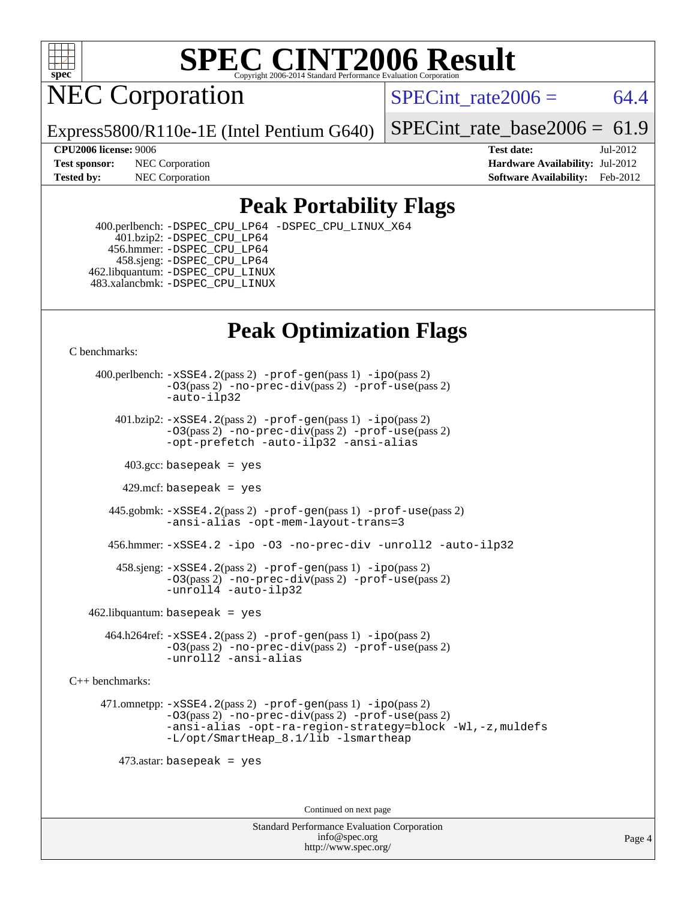

NEC Corporation

SPECint rate $2006 = 64.4$ 

Express5800/R110e-1E (Intel Pentium G640)

[SPECint\\_rate\\_base2006 =](http://www.spec.org/auto/cpu2006/Docs/result-fields.html#SPECintratebase2006)  $61.9$ 

**[Tested by:](http://www.spec.org/auto/cpu2006/Docs/result-fields.html#Testedby)** NEC Corporation **[Software Availability:](http://www.spec.org/auto/cpu2006/Docs/result-fields.html#SoftwareAvailability)** Feb-2012

**[CPU2006 license:](http://www.spec.org/auto/cpu2006/Docs/result-fields.html#CPU2006license)** 9006 **[Test date:](http://www.spec.org/auto/cpu2006/Docs/result-fields.html#Testdate)** Jul-2012 **[Test sponsor:](http://www.spec.org/auto/cpu2006/Docs/result-fields.html#Testsponsor)** NEC Corporation **[Hardware Availability:](http://www.spec.org/auto/cpu2006/Docs/result-fields.html#HardwareAvailability)** Jul-2012

## **[Peak Portability Flags](http://www.spec.org/auto/cpu2006/Docs/result-fields.html#PeakPortabilityFlags)**

 400.perlbench: [-DSPEC\\_CPU\\_LP64](http://www.spec.org/cpu2006/results/res2012q3/cpu2006-20120802-24044.flags.html#b400.perlbench_peakCPORTABILITY_DSPEC_CPU_LP64) [-DSPEC\\_CPU\\_LINUX\\_X64](http://www.spec.org/cpu2006/results/res2012q3/cpu2006-20120802-24044.flags.html#b400.perlbench_peakCPORTABILITY_DSPEC_CPU_LINUX_X64) 401.bzip2: [-DSPEC\\_CPU\\_LP64](http://www.spec.org/cpu2006/results/res2012q3/cpu2006-20120802-24044.flags.html#suite_peakCPORTABILITY401_bzip2_DSPEC_CPU_LP64) 456.hmmer: [-DSPEC\\_CPU\\_LP64](http://www.spec.org/cpu2006/results/res2012q3/cpu2006-20120802-24044.flags.html#suite_peakCPORTABILITY456_hmmer_DSPEC_CPU_LP64) 458.sjeng: [-DSPEC\\_CPU\\_LP64](http://www.spec.org/cpu2006/results/res2012q3/cpu2006-20120802-24044.flags.html#suite_peakCPORTABILITY458_sjeng_DSPEC_CPU_LP64) 462.libquantum: [-DSPEC\\_CPU\\_LINUX](http://www.spec.org/cpu2006/results/res2012q3/cpu2006-20120802-24044.flags.html#b462.libquantum_peakCPORTABILITY_DSPEC_CPU_LINUX) 483.xalancbmk: [-DSPEC\\_CPU\\_LINUX](http://www.spec.org/cpu2006/results/res2012q3/cpu2006-20120802-24044.flags.html#b483.xalancbmk_peakCXXPORTABILITY_DSPEC_CPU_LINUX)

## **[Peak Optimization Flags](http://www.spec.org/auto/cpu2006/Docs/result-fields.html#PeakOptimizationFlags)**

[C benchmarks](http://www.spec.org/auto/cpu2006/Docs/result-fields.html#Cbenchmarks):

 400.perlbench: [-xSSE4.2](http://www.spec.org/cpu2006/results/res2012q3/cpu2006-20120802-24044.flags.html#user_peakPASS2_CFLAGSPASS2_LDCFLAGS400_perlbench_f-xSSE42_f91528193cf0b216347adb8b939d4107)(pass 2) [-prof-gen](http://www.spec.org/cpu2006/results/res2012q3/cpu2006-20120802-24044.flags.html#user_peakPASS1_CFLAGSPASS1_LDCFLAGS400_perlbench_prof_gen_e43856698f6ca7b7e442dfd80e94a8fc)(pass 1) [-ipo](http://www.spec.org/cpu2006/results/res2012q3/cpu2006-20120802-24044.flags.html#user_peakPASS2_CFLAGSPASS2_LDCFLAGS400_perlbench_f-ipo)(pass 2) [-O3](http://www.spec.org/cpu2006/results/res2012q3/cpu2006-20120802-24044.flags.html#user_peakPASS2_CFLAGSPASS2_LDCFLAGS400_perlbench_f-O3)(pass 2) [-no-prec-div](http://www.spec.org/cpu2006/results/res2012q3/cpu2006-20120802-24044.flags.html#user_peakPASS2_CFLAGSPASS2_LDCFLAGS400_perlbench_f-no-prec-div)(pass 2) [-prof-use](http://www.spec.org/cpu2006/results/res2012q3/cpu2006-20120802-24044.flags.html#user_peakPASS2_CFLAGSPASS2_LDCFLAGS400_perlbench_prof_use_bccf7792157ff70d64e32fe3e1250b55)(pass 2) [-auto-ilp32](http://www.spec.org/cpu2006/results/res2012q3/cpu2006-20120802-24044.flags.html#user_peakCOPTIMIZE400_perlbench_f-auto-ilp32)  $401.bzip2: -xSSE4.2(pass 2) -prof-qen(pass 1) -ipo(pass 2)$  $401.bzip2: -xSSE4.2(pass 2) -prof-qen(pass 1) -ipo(pass 2)$  $401.bzip2: -xSSE4.2(pass 2) -prof-qen(pass 1) -ipo(pass 2)$  $401.bzip2: -xSSE4.2(pass 2) -prof-qen(pass 1) -ipo(pass 2)$  $401.bzip2: -xSSE4.2(pass 2) -prof-qen(pass 1) -ipo(pass 2)$ [-O3](http://www.spec.org/cpu2006/results/res2012q3/cpu2006-20120802-24044.flags.html#user_peakPASS2_CFLAGSPASS2_LDCFLAGS401_bzip2_f-O3)(pass 2) [-no-prec-div](http://www.spec.org/cpu2006/results/res2012q3/cpu2006-20120802-24044.flags.html#user_peakPASS2_CFLAGSPASS2_LDCFLAGS401_bzip2_f-no-prec-div)(pass 2) [-prof-use](http://www.spec.org/cpu2006/results/res2012q3/cpu2006-20120802-24044.flags.html#user_peakPASS2_CFLAGSPASS2_LDCFLAGS401_bzip2_prof_use_bccf7792157ff70d64e32fe3e1250b55)(pass 2) [-opt-prefetch](http://www.spec.org/cpu2006/results/res2012q3/cpu2006-20120802-24044.flags.html#user_peakCOPTIMIZE401_bzip2_f-opt-prefetch) [-auto-ilp32](http://www.spec.org/cpu2006/results/res2012q3/cpu2006-20120802-24044.flags.html#user_peakCOPTIMIZE401_bzip2_f-auto-ilp32) [-ansi-alias](http://www.spec.org/cpu2006/results/res2012q3/cpu2006-20120802-24044.flags.html#user_peakCOPTIMIZE401_bzip2_f-ansi-alias)  $403.\text{sec: basepeak}$  = yes 429.mcf: basepeak = yes 445.gobmk: [-xSSE4.2](http://www.spec.org/cpu2006/results/res2012q3/cpu2006-20120802-24044.flags.html#user_peakPASS2_CFLAGSPASS2_LDCFLAGS445_gobmk_f-xSSE42_f91528193cf0b216347adb8b939d4107)(pass 2) [-prof-gen](http://www.spec.org/cpu2006/results/res2012q3/cpu2006-20120802-24044.flags.html#user_peakPASS1_CFLAGSPASS1_LDCFLAGS445_gobmk_prof_gen_e43856698f6ca7b7e442dfd80e94a8fc)(pass 1) [-prof-use](http://www.spec.org/cpu2006/results/res2012q3/cpu2006-20120802-24044.flags.html#user_peakPASS2_CFLAGSPASS2_LDCFLAGS445_gobmk_prof_use_bccf7792157ff70d64e32fe3e1250b55)(pass 2) [-ansi-alias](http://www.spec.org/cpu2006/results/res2012q3/cpu2006-20120802-24044.flags.html#user_peakCOPTIMIZE445_gobmk_f-ansi-alias) [-opt-mem-layout-trans=3](http://www.spec.org/cpu2006/results/res2012q3/cpu2006-20120802-24044.flags.html#user_peakCOPTIMIZE445_gobmk_f-opt-mem-layout-trans_a7b82ad4bd7abf52556d4961a2ae94d5) 456.hmmer: [-xSSE4.2](http://www.spec.org/cpu2006/results/res2012q3/cpu2006-20120802-24044.flags.html#user_peakCOPTIMIZE456_hmmer_f-xSSE42_f91528193cf0b216347adb8b939d4107) [-ipo](http://www.spec.org/cpu2006/results/res2012q3/cpu2006-20120802-24044.flags.html#user_peakCOPTIMIZE456_hmmer_f-ipo) [-O3](http://www.spec.org/cpu2006/results/res2012q3/cpu2006-20120802-24044.flags.html#user_peakCOPTIMIZE456_hmmer_f-O3) [-no-prec-div](http://www.spec.org/cpu2006/results/res2012q3/cpu2006-20120802-24044.flags.html#user_peakCOPTIMIZE456_hmmer_f-no-prec-div) [-unroll2](http://www.spec.org/cpu2006/results/res2012q3/cpu2006-20120802-24044.flags.html#user_peakCOPTIMIZE456_hmmer_f-unroll_784dae83bebfb236979b41d2422d7ec2) [-auto-ilp32](http://www.spec.org/cpu2006/results/res2012q3/cpu2006-20120802-24044.flags.html#user_peakCOPTIMIZE456_hmmer_f-auto-ilp32) 458.sjeng: [-xSSE4.2](http://www.spec.org/cpu2006/results/res2012q3/cpu2006-20120802-24044.flags.html#user_peakPASS2_CFLAGSPASS2_LDCFLAGS458_sjeng_f-xSSE42_f91528193cf0b216347adb8b939d4107)(pass 2) [-prof-gen](http://www.spec.org/cpu2006/results/res2012q3/cpu2006-20120802-24044.flags.html#user_peakPASS1_CFLAGSPASS1_LDCFLAGS458_sjeng_prof_gen_e43856698f6ca7b7e442dfd80e94a8fc)(pass 1) [-ipo](http://www.spec.org/cpu2006/results/res2012q3/cpu2006-20120802-24044.flags.html#user_peakPASS2_CFLAGSPASS2_LDCFLAGS458_sjeng_f-ipo)(pass 2) [-O3](http://www.spec.org/cpu2006/results/res2012q3/cpu2006-20120802-24044.flags.html#user_peakPASS2_CFLAGSPASS2_LDCFLAGS458_sjeng_f-O3)(pass 2) [-no-prec-div](http://www.spec.org/cpu2006/results/res2012q3/cpu2006-20120802-24044.flags.html#user_peakPASS2_CFLAGSPASS2_LDCFLAGS458_sjeng_f-no-prec-div)(pass 2) [-prof-use](http://www.spec.org/cpu2006/results/res2012q3/cpu2006-20120802-24044.flags.html#user_peakPASS2_CFLAGSPASS2_LDCFLAGS458_sjeng_prof_use_bccf7792157ff70d64e32fe3e1250b55)(pass 2) [-unroll4](http://www.spec.org/cpu2006/results/res2012q3/cpu2006-20120802-24044.flags.html#user_peakCOPTIMIZE458_sjeng_f-unroll_4e5e4ed65b7fd20bdcd365bec371b81f) [-auto-ilp32](http://www.spec.org/cpu2006/results/res2012q3/cpu2006-20120802-24044.flags.html#user_peakCOPTIMIZE458_sjeng_f-auto-ilp32)  $462$ .libquantum: basepeak = yes 464.h264ref: [-xSSE4.2](http://www.spec.org/cpu2006/results/res2012q3/cpu2006-20120802-24044.flags.html#user_peakPASS2_CFLAGSPASS2_LDCFLAGS464_h264ref_f-xSSE42_f91528193cf0b216347adb8b939d4107)(pass 2) [-prof-gen](http://www.spec.org/cpu2006/results/res2012q3/cpu2006-20120802-24044.flags.html#user_peakPASS1_CFLAGSPASS1_LDCFLAGS464_h264ref_prof_gen_e43856698f6ca7b7e442dfd80e94a8fc)(pass 1) [-ipo](http://www.spec.org/cpu2006/results/res2012q3/cpu2006-20120802-24044.flags.html#user_peakPASS2_CFLAGSPASS2_LDCFLAGS464_h264ref_f-ipo)(pass 2) [-O3](http://www.spec.org/cpu2006/results/res2012q3/cpu2006-20120802-24044.flags.html#user_peakPASS2_CFLAGSPASS2_LDCFLAGS464_h264ref_f-O3)(pass 2) [-no-prec-div](http://www.spec.org/cpu2006/results/res2012q3/cpu2006-20120802-24044.flags.html#user_peakPASS2_CFLAGSPASS2_LDCFLAGS464_h264ref_f-no-prec-div)(pass 2) [-prof-use](http://www.spec.org/cpu2006/results/res2012q3/cpu2006-20120802-24044.flags.html#user_peakPASS2_CFLAGSPASS2_LDCFLAGS464_h264ref_prof_use_bccf7792157ff70d64e32fe3e1250b55)(pass 2) [-unroll2](http://www.spec.org/cpu2006/results/res2012q3/cpu2006-20120802-24044.flags.html#user_peakCOPTIMIZE464_h264ref_f-unroll_784dae83bebfb236979b41d2422d7ec2) [-ansi-alias](http://www.spec.org/cpu2006/results/res2012q3/cpu2006-20120802-24044.flags.html#user_peakCOPTIMIZE464_h264ref_f-ansi-alias)

[C++ benchmarks:](http://www.spec.org/auto/cpu2006/Docs/result-fields.html#CXXbenchmarks)

 471.omnetpp: [-xSSE4.2](http://www.spec.org/cpu2006/results/res2012q3/cpu2006-20120802-24044.flags.html#user_peakPASS2_CXXFLAGSPASS2_LDCXXFLAGS471_omnetpp_f-xSSE42_f91528193cf0b216347adb8b939d4107)(pass 2) [-prof-gen](http://www.spec.org/cpu2006/results/res2012q3/cpu2006-20120802-24044.flags.html#user_peakPASS1_CXXFLAGSPASS1_LDCXXFLAGS471_omnetpp_prof_gen_e43856698f6ca7b7e442dfd80e94a8fc)(pass 1) [-ipo](http://www.spec.org/cpu2006/results/res2012q3/cpu2006-20120802-24044.flags.html#user_peakPASS2_CXXFLAGSPASS2_LDCXXFLAGS471_omnetpp_f-ipo)(pass 2) [-O3](http://www.spec.org/cpu2006/results/res2012q3/cpu2006-20120802-24044.flags.html#user_peakPASS2_CXXFLAGSPASS2_LDCXXFLAGS471_omnetpp_f-O3)(pass 2) [-no-prec-div](http://www.spec.org/cpu2006/results/res2012q3/cpu2006-20120802-24044.flags.html#user_peakPASS2_CXXFLAGSPASS2_LDCXXFLAGS471_omnetpp_f-no-prec-div)(pass 2) [-prof-use](http://www.spec.org/cpu2006/results/res2012q3/cpu2006-20120802-24044.flags.html#user_peakPASS2_CXXFLAGSPASS2_LDCXXFLAGS471_omnetpp_prof_use_bccf7792157ff70d64e32fe3e1250b55)(pass 2) [-ansi-alias](http://www.spec.org/cpu2006/results/res2012q3/cpu2006-20120802-24044.flags.html#user_peakCXXOPTIMIZE471_omnetpp_f-ansi-alias) [-opt-ra-region-strategy=block](http://www.spec.org/cpu2006/results/res2012q3/cpu2006-20120802-24044.flags.html#user_peakCXXOPTIMIZE471_omnetpp_f-opt-ra-region-strategy_a0a37c372d03933b2a18d4af463c1f69) [-Wl,-z,muldefs](http://www.spec.org/cpu2006/results/res2012q3/cpu2006-20120802-24044.flags.html#user_peakEXTRA_LDFLAGS471_omnetpp_link_force_multiple1_74079c344b956b9658436fd1b6dd3a8a) [-L/opt/SmartHeap\\_8.1/lib -lsmartheap](http://www.spec.org/cpu2006/results/res2012q3/cpu2006-20120802-24044.flags.html#user_peakEXTRA_LIBS471_omnetpp_SmartHeap_d5ba4dfc9de25d3c657c7de7476e66c5)

473.astar: basepeak = yes

Continued on next page